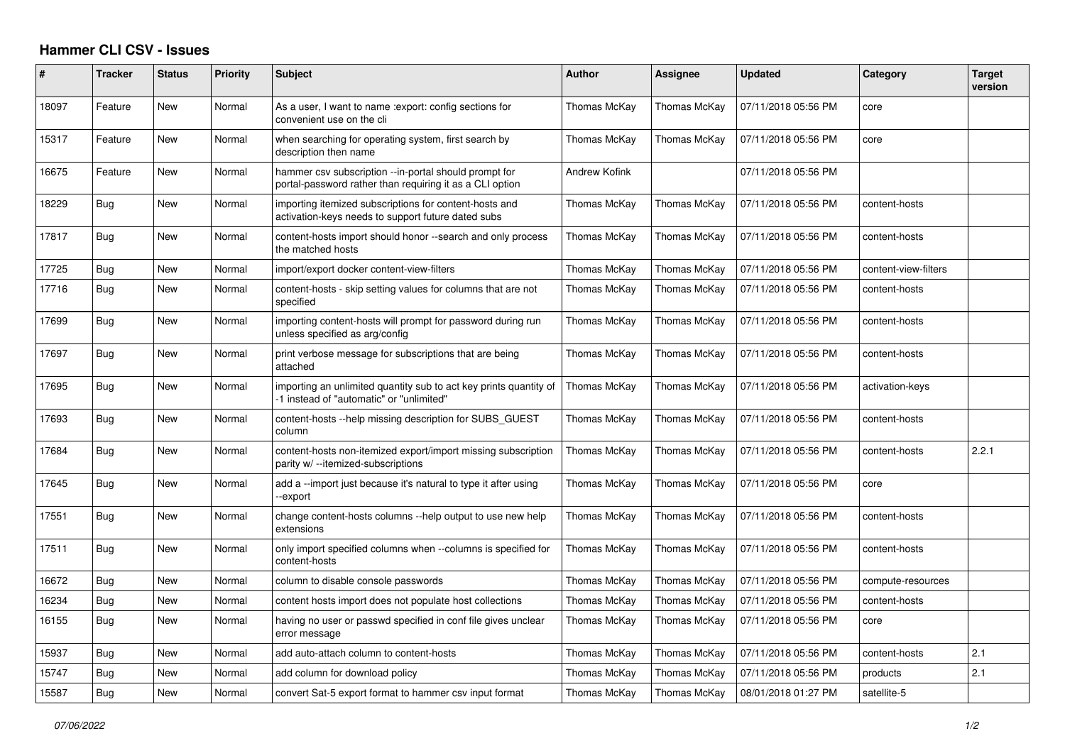## **Hammer CLI CSV - Issues**

| ∦     | <b>Tracker</b> | <b>Status</b> | <b>Priority</b> | <b>Subject</b>                                                                                                    | <b>Author</b>       | Assignee     | <b>Updated</b>      | Category             | <b>Target</b><br>version |
|-------|----------------|---------------|-----------------|-------------------------------------------------------------------------------------------------------------------|---------------------|--------------|---------------------|----------------------|--------------------------|
| 18097 | Feature        | <b>New</b>    | Normal          | As a user, I want to name : export: config sections for<br>convenient use on the cli                              | <b>Thomas McKay</b> | Thomas McKay | 07/11/2018 05:56 PM | core                 |                          |
| 15317 | Feature        | New           | Normal          | when searching for operating system, first search by<br>description then name                                     | Thomas McKay        | Thomas McKay | 07/11/2018 05:56 PM | core                 |                          |
| 16675 | Feature        | <b>New</b>    | Normal          | hammer csv subscription --in-portal should prompt for<br>portal-password rather than requiring it as a CLI option | Andrew Kofink       |              | 07/11/2018 05:56 PM |                      |                          |
| 18229 | Bug            | New           | Normal          | importing itemized subscriptions for content-hosts and<br>activation-keys needs to support future dated subs      | Thomas McKav        | Thomas McKay | 07/11/2018 05:56 PM | content-hosts        |                          |
| 17817 | Bug            | <b>New</b>    | Normal          | content-hosts import should honor --search and only process<br>the matched hosts                                  | Thomas McKay        | Thomas McKay | 07/11/2018 05:56 PM | content-hosts        |                          |
| 17725 | Bug            | New           | Normal          | import/export docker content-view-filters                                                                         | Thomas McKay        | Thomas McKay | 07/11/2018 05:56 PM | content-view-filters |                          |
| 17716 | <b>Bug</b>     | New           | Normal          | content-hosts - skip setting values for columns that are not<br>specified                                         | Thomas McKay        | Thomas McKay | 07/11/2018 05:56 PM | content-hosts        |                          |
| 17699 | Bug            | New           | Normal          | importing content-hosts will prompt for password during run<br>unless specified as arg/config                     | Thomas McKay        | Thomas McKay | 07/11/2018 05:56 PM | content-hosts        |                          |
| 17697 | <b>Bug</b>     | <b>New</b>    | Normal          | print verbose message for subscriptions that are being<br>attached                                                | Thomas McKay        | Thomas McKay | 07/11/2018 05:56 PM | content-hosts        |                          |
| 17695 | Bug            | New           | Normal          | importing an unlimited quantity sub to act key prints quantity of<br>-1 instead of "automatic" or "unlimited"     | Thomas McKay        | Thomas McKay | 07/11/2018 05:56 PM | activation-keys      |                          |
| 17693 | Bug            | New           | Normal          | content-hosts --help missing description for SUBS_GUEST<br>column                                                 | Thomas McKay        | Thomas McKay | 07/11/2018 05:56 PM | content-hosts        |                          |
| 17684 | Bug            | New           | Normal          | content-hosts non-itemized export/import missing subscription<br>parity w/ --itemized-subscriptions               | Thomas McKay        | Thomas McKay | 07/11/2018 05:56 PM | content-hosts        | 2.2.1                    |
| 17645 | Bug            | New           | Normal          | add a --import just because it's natural to type it after using<br>-export                                        | Thomas McKay        | Thomas McKay | 07/11/2018 05:56 PM | core                 |                          |
| 17551 | Bug            | New           | Normal          | change content-hosts columns --help output to use new help<br>extensions                                          | Thomas McKay        | Thomas McKay | 07/11/2018 05:56 PM | content-hosts        |                          |
| 17511 | Bug            | New           | Normal          | only import specified columns when --columns is specified for<br>content-hosts                                    | Thomas McKay        | Thomas McKay | 07/11/2018 05:56 PM | content-hosts        |                          |
| 16672 | Bug            | New           | Normal          | column to disable console passwords                                                                               | Thomas McKay        | Thomas McKay | 07/11/2018 05:56 PM | compute-resources    |                          |
| 16234 | Bug            | New           | Normal          | content hosts import does not populate host collections                                                           | Thomas McKay        | Thomas McKay | 07/11/2018 05:56 PM | content-hosts        |                          |
| 16155 | Bug            | New           | Normal          | having no user or passwd specified in conf file gives unclear<br>error message                                    | Thomas McKav        | Thomas McKay | 07/11/2018 05:56 PM | core                 |                          |
| 15937 | Bug            | New           | Normal          | add auto-attach column to content-hosts                                                                           | Thomas McKay        | Thomas McKay | 07/11/2018 05:56 PM | content-hosts        | 2.1                      |
| 15747 | <b>Bug</b>     | New           | Normal          | add column for download policy                                                                                    | Thomas McKay        | Thomas McKay | 07/11/2018 05:56 PM | products             | 2.1                      |
| 15587 | Bug            | New           | Normal          | convert Sat-5 export format to hammer csv input format                                                            | Thomas McKay        | Thomas McKay | 08/01/2018 01:27 PM | satellite-5          |                          |